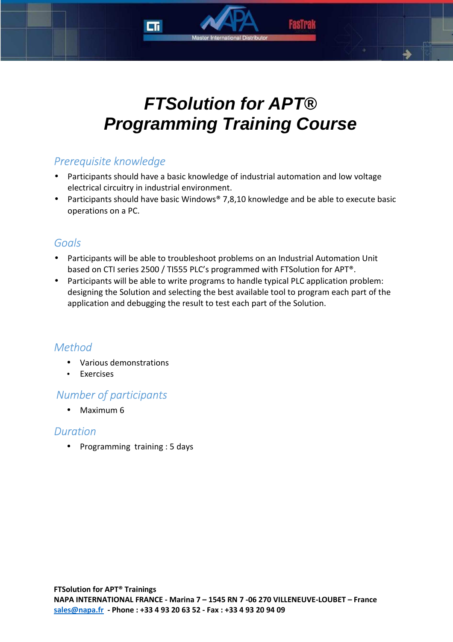# **FTSolution for APT® Programming Training Course**

# *Prerequisite knowledge*

- Participants should have a basic knowledge of industrial automation and low voltage electrical circuitry in industrial environment.
- Participants should have basic Windows® 7,8,10 knowledge and be able to execute basic operations on a PC.

# *Goals*

- Participants will be able to troubleshoot problems on an Industrial Automation Unit based on CTI series 2500 / TI555 PLC's programmed with FTSolution for APT®.
- Participants will be able to write programs to handle typical PLC application problem: designing the Solution and selecting the best available tool to program each part of the application and debugging the result to test each part of the Solution.

# *Method*

- Various demonstrations
- Exercises

# *Number of participants*

• Maximum 6

## *Duration*

• Programming training : 5 days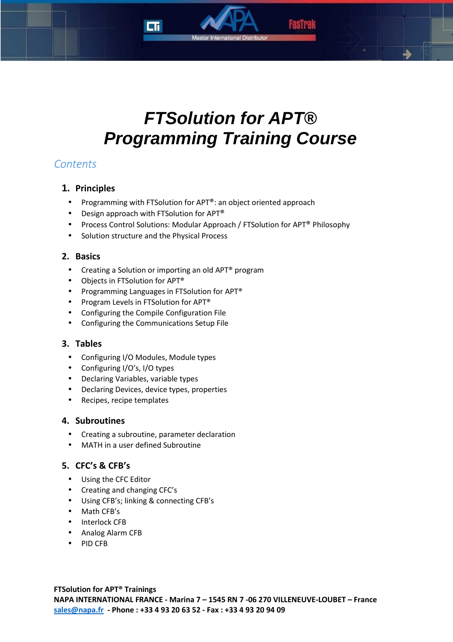

Master International Distribute

# *Contents*

## **1. Principles**

- Programming with FTSolution for APT®: an object oriented approach
- Design approach with FTSolution for APT<sup>®</sup>
- Process Control Solutions: Modular Approach / FTSolution for APT® Philosophy
- Solution structure and the Physical Process

## **2. Basics**

- Creating a Solution or importing an old APT<sup>®</sup> program
- Objects in FTSolution for APT®
- Programming Languages in FTSolution for APT<sup>®</sup>
- Program Levels in FTSolution for APT®
- Configuring the Compile Configuration File
- Configuring the Communications Setup File

## **3. Tables**

- Configuring I/O Modules, Module types
- Configuring I/O's, I/O types
- Declaring Variables, variable types
- Declaring Devices, device types, properties
- Recipes, recipe templates

## **4. Subroutines**

- Creating a subroutine, parameter declaration
- MATH in a user defined Subroutine

## **5. CFC's & CFB's**

- Using the CFC Editor
- Creating and changing CFC's
- Using CFB's; linking & connecting CFB's
- Math CFB's
- Interlock CFB
- Analog Alarm CFB
- PID CFB